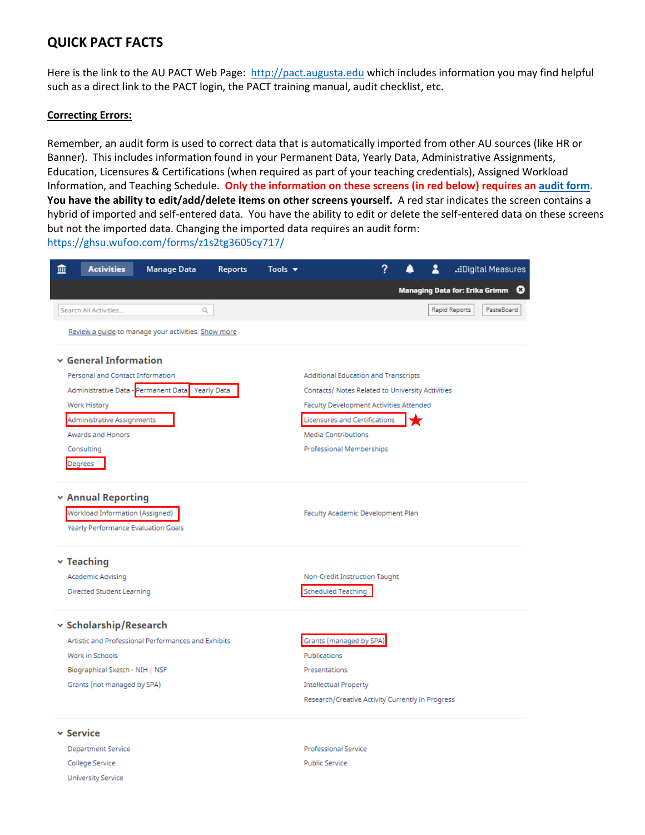# **QUICK PACT FACTS**

Here is the link to the AU PACT Web Page: [http://pact.augusta.edu](http://pact.augusta.edu/) which includes information you may find helpful such as a direct link to the PACT login, the PACT training manual, audit checklist, etc.

#### **Correcting Errors:**

University Service

Remember, an audit form is used to correct data that is automatically imported from other AU sources (like HR or Banner). This includes information found in your Permanent Data, Yearly Data, Administrative Assignments, Education, Licensures & Certifications (when required as part of your teaching credentials), Assigned Workload Information, and Teaching Schedule. **Only the information on these screens (in red below) requires a[n audit form.](https://ghsu.wufoo.com/forms/z1s2tg3605cy717/) You have the ability to edit/add/delete items on other screens yourself.** A red star indicates the screen contains a hybrid of imported and self-entered data. You have the ability to edit or delete the self-entered data on these screens but not the imported data. Changing the imported data requires an audit form: <https://ghsu.wufoo.com/forms/z1s2tg3605cy717/>

| 逦                          | <b>Activities</b>                   | Manage Data                                         | <b>Reports</b> | Tools v                                          |                                                  | ? |  |  |               | .:Digital Measures                  |  |  |
|----------------------------|-------------------------------------|-----------------------------------------------------|----------------|--------------------------------------------------|--------------------------------------------------|---|--|--|---------------|-------------------------------------|--|--|
|                            |                                     |                                                     |                |                                                  |                                                  |   |  |  |               | ☺<br>Managing Data for: Erika Grimm |  |  |
|                            | Search All Activities               | Q                                                   |                |                                                  |                                                  |   |  |  | Rapid Reports | PasteBoard                          |  |  |
|                            |                                     | Review a guide to manage your activities. Show more |                |                                                  |                                                  |   |  |  |               |                                     |  |  |
| $\vee$ General Information |                                     |                                                     |                |                                                  |                                                  |   |  |  |               |                                     |  |  |
|                            | Personal and Contact Information    |                                                     |                | Additional Education and Transcripts             |                                                  |   |  |  |               |                                     |  |  |
|                            |                                     | Administrative Data - Permanent Data   Yearly Data  |                | Contacts/ Notes Related to University Activities |                                                  |   |  |  |               |                                     |  |  |
| Work History               |                                     |                                                     |                |                                                  | Faculty Development Activities Attended          |   |  |  |               |                                     |  |  |
|                            | Administrative Assignments          |                                                     |                | Licensures and Certifications                    |                                                  |   |  |  |               |                                     |  |  |
| Awards and Honors          |                                     |                                                     |                |                                                  | <b>Media Contributions</b>                       |   |  |  |               |                                     |  |  |
|                            | Consulting                          |                                                     |                | Professional Memberships                         |                                                  |   |  |  |               |                                     |  |  |
|                            | Degrees                             |                                                     |                |                                                  |                                                  |   |  |  |               |                                     |  |  |
|                            | <b>v</b> Annual Reporting           |                                                     |                |                                                  |                                                  |   |  |  |               |                                     |  |  |
|                            | Workload Information (Assigned)     |                                                     |                |                                                  | Faculty Academic Development Plan                |   |  |  |               |                                     |  |  |
|                            | Yearly Performance Evaluation Goals |                                                     |                |                                                  |                                                  |   |  |  |               |                                     |  |  |
|                            | $\times$ Teaching                   |                                                     |                |                                                  |                                                  |   |  |  |               |                                     |  |  |
|                            | Academic Advising                   |                                                     |                |                                                  | Non-Credit Instruction Taught                    |   |  |  |               |                                     |  |  |
| Directed Student Learning  |                                     |                                                     |                |                                                  | <b>Scheduled Teaching</b>                        |   |  |  |               |                                     |  |  |
|                            | v Scholarship/Research              |                                                     |                |                                                  |                                                  |   |  |  |               |                                     |  |  |
|                            |                                     | Artistic and Professional Performances and Exhibits |                |                                                  | Grants (managed by SPA)                          |   |  |  |               |                                     |  |  |
| Work in Schools            |                                     |                                                     |                |                                                  | Publications                                     |   |  |  |               |                                     |  |  |
|                            | Biographical Sketch - NIH   NSF     |                                                     |                |                                                  | Presentations                                    |   |  |  |               |                                     |  |  |
|                            | Grants (not managed by SPA)         |                                                     |                |                                                  | <b>Intellectual Property</b>                     |   |  |  |               |                                     |  |  |
|                            |                                     |                                                     |                |                                                  | Research/Creative Activity Currently in Progress |   |  |  |               |                                     |  |  |
|                            | $\mathord{\sim}$ Service            |                                                     |                |                                                  |                                                  |   |  |  |               |                                     |  |  |
|                            | Department Service                  |                                                     |                |                                                  | Professional Service                             |   |  |  |               |                                     |  |  |
| College Service            |                                     |                                                     |                |                                                  | <b>Public Service</b>                            |   |  |  |               |                                     |  |  |